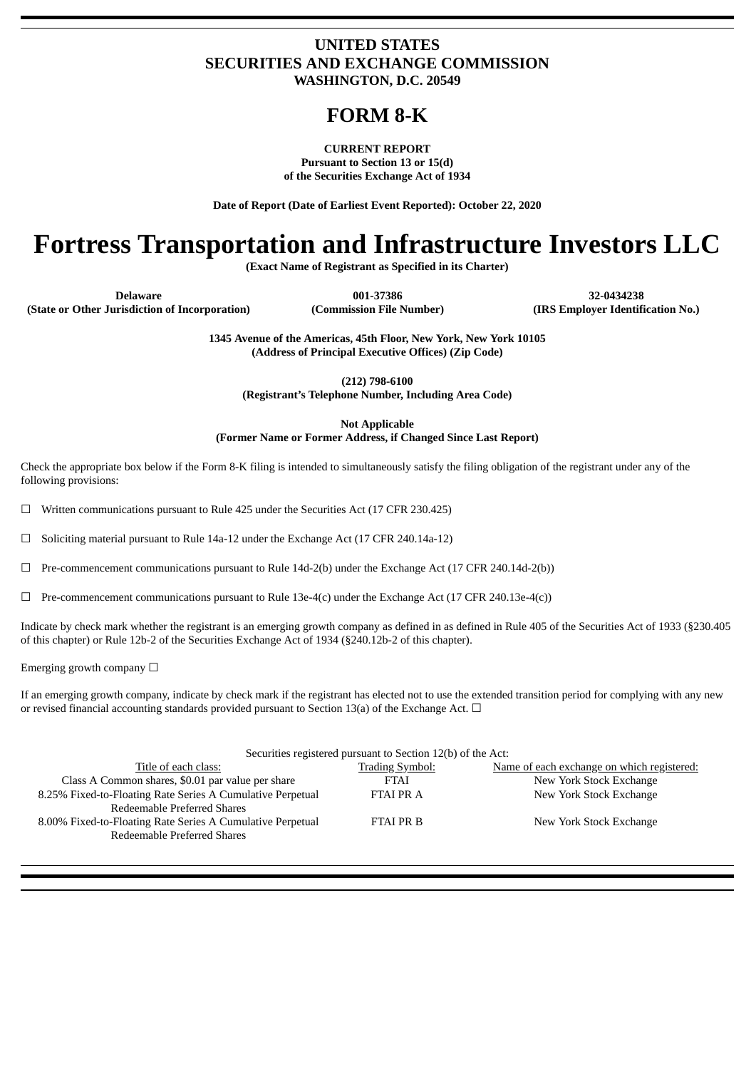### **UNITED STATES SECURITIES AND EXCHANGE COMMISSION WASHINGTON, D.C. 20549**

## **FORM 8-K**

**CURRENT REPORT Pursuant to Section 13 or 15(d) of the Securities Exchange Act of 1934**

**Date of Report (Date of Earliest Event Reported): October 22, 2020**

# **Fortress Transportation and Infrastructure Investors LLC**

**(Exact Name of Registrant as Specified in its Charter)**

**Delaware 001-37386 32-0434238**

**(State or Other Jurisdiction of Incorporation) (Commission File Number) (IRS Employer Identification No.)**

**1345 Avenue of the Americas, 45th Floor, New York, New York 10105 (Address of Principal Executive Offices) (Zip Code)**

**(212) 798-6100**

**(Registrant's Telephone Number, Including Area Code)**

**Not Applicable**

**(Former Name or Former Address, if Changed Since Last Report)**

Check the appropriate box below if the Form 8-K filing is intended to simultaneously satisfy the filing obligation of the registrant under any of the following provisions:

 $\Box$  Written communications pursuant to Rule 425 under the Securities Act (17 CFR 230.425)

 $\Box$  Soliciting material pursuant to Rule 14a-12 under the Exchange Act (17 CFR 240.14a-12)

☐ Pre-commencement communications pursuant to Rule 14d-2(b) under the Exchange Act (17 CFR 240.14d-2(b))

 $\Box$  Pre-commencement communications pursuant to Rule 13e-4(c) under the Exchange Act (17 CFR 240.13e-4(c))

Indicate by check mark whether the registrant is an emerging growth company as defined in as defined in Rule 405 of the Securities Act of 1933 (§230.405 of this chapter) or Rule 12b-2 of the Securities Exchange Act of 1934 (§240.12b-2 of this chapter).

Emerging growth company  $\Box$ 

If an emerging growth company, indicate by check mark if the registrant has elected not to use the extended transition period for complying with any new or revised financial accounting standards provided pursuant to Section 13(a) of the Exchange Act.  $\Box$ 

|                                                            | Securities registered pursuant to Section 12(b) of the Act: |                                            |
|------------------------------------------------------------|-------------------------------------------------------------|--------------------------------------------|
| Title of each class:                                       | <b>Trading Symbol:</b>                                      | Name of each exchange on which registered: |
| Class A Common shares, \$0.01 par value per share          | <b>FTAI</b>                                                 | New York Stock Exchange                    |
| 8.25% Fixed-to-Floating Rate Series A Cumulative Perpetual | <b>FTAI PR A</b>                                            | New York Stock Exchange                    |
| Redeemable Preferred Shares                                |                                                             |                                            |
| 8.00% Fixed-to-Floating Rate Series A Cumulative Perpetual | <b>FTAI PR B</b>                                            | New York Stock Exchange                    |
| Redeemable Preferred Shares                                |                                                             |                                            |
|                                                            |                                                             |                                            |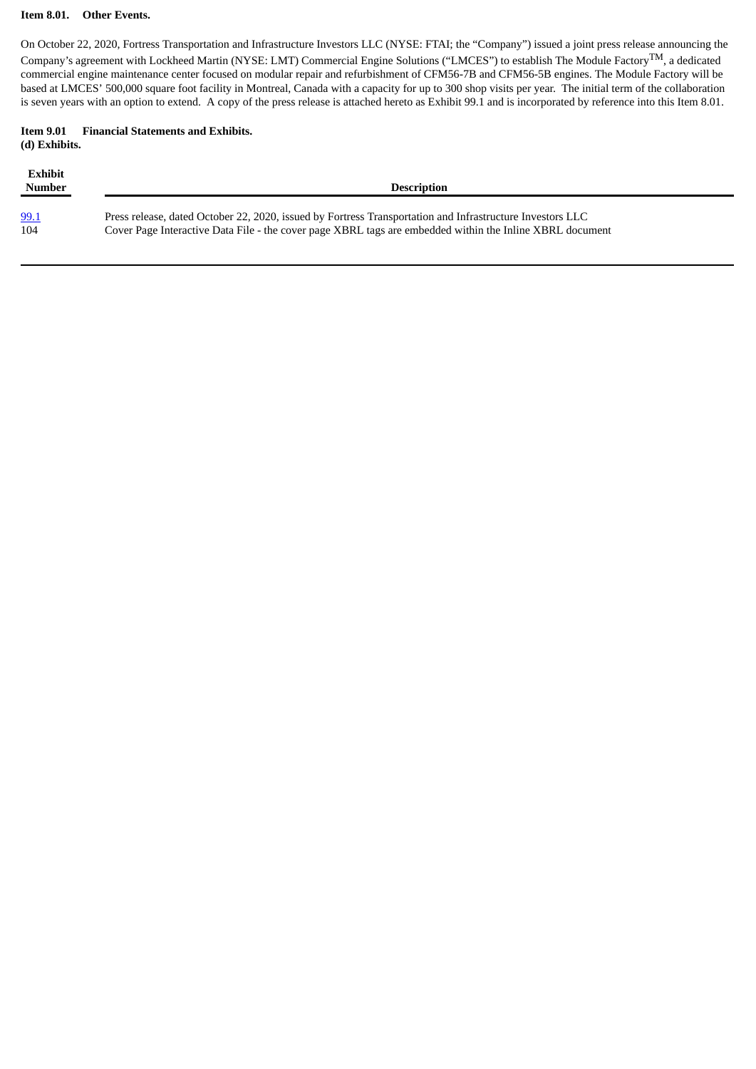#### **Item 8.01. Other Events.**

On October 22, 2020, Fortress Transportation and Infrastructure Investors LLC (NYSE: FTAI; the "Company") issued a joint press release announcing the Company's agreement with Lockheed Martin (NYSE: LMT) Commercial Engine Solutions ("LMCES") to establish The Module FactoryTM, a dedicated commercial engine maintenance center focused on modular repair and refurbishment of CFM56-7B and CFM56-5B engines. The Module Factory will be based at LMCES' 500,000 square foot facility in Montreal, Canada with a capacity for up to 300 shop visits per year. The initial term of the collaboration is seven years with an option to extend. A copy of the press release is attached hereto as Exhibit 99.1 and is incorporated by reference into this Item 8.01.

#### **Item 9.01 Financial Statements and Exhibits. (d) Exhibits.**

| <b>Exhibit</b><br>Number | <b>Description</b>                                                                                        |
|--------------------------|-----------------------------------------------------------------------------------------------------------|
| 99.1                     | Press release, dated October 22, 2020, issued by Fortress Transportation and Infrastructure Investors LLC |
| 104                      | Cover Page Interactive Data File - the cover page XBRL tags are embedded within the Inline XBRL document  |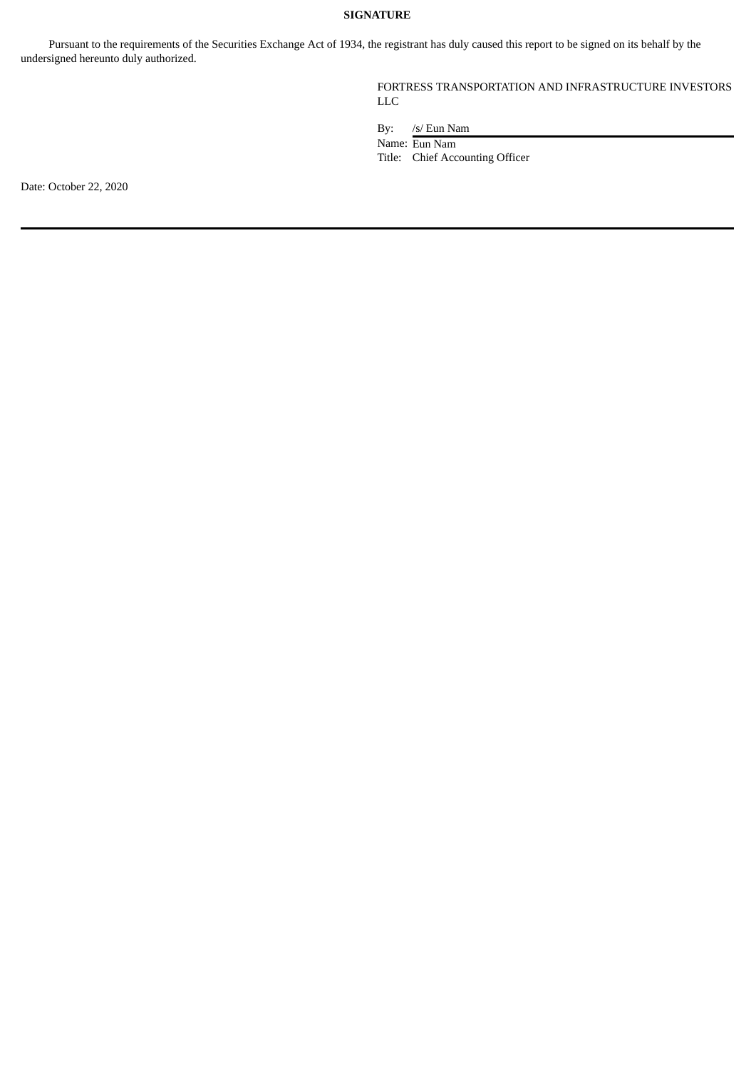#### **SIGNATURE**

Pursuant to the requirements of the Securities Exchange Act of 1934, the registrant has duly caused this report to be signed on its behalf by the undersigned hereunto duly authorized.

> FORTRESS TRANSPORTATION AND INFRASTRUCTURE INVESTORS LLC

By: /s/ Eun Nam

Name: Eun Nam

Title: Chief Accounting Officer

Date: October 22, 2020